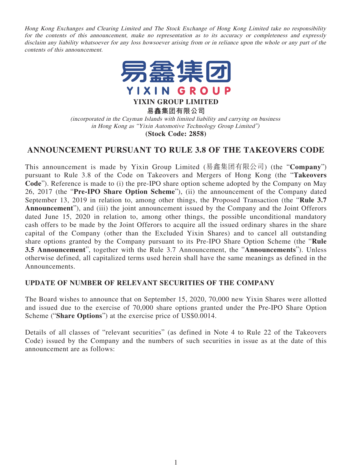Hong Kong Exchanges and Clearing Limited and The Stock Exchange of Hong Kong Limited take no responsibility for the contents of this announcement, make no representation as to its accuracy or completeness and expressly disclaim any liability whatsoever for any loss howsoever arising from or in reliance upon the whole or any part of the contents of this announcement.



**YIXIN GROUP LIMITED**

**易鑫集团有限公司**

(incorporated in the Cayman Islands with limited liability and carrying on business in Hong Kong as "Yixin Automotive Technology Group Limited")

**(Stock Code: 2858)**

## **ANNOUNCEMENT PURSUANT TO RULE 3.8 OF THE TAKEOVERS CODE**

This announcement is made by Yixin Group Limited (易鑫集团有限公司) (the "**Company**") pursuant to Rule 3.8 of the Code on Takeovers and Mergers of Hong Kong (the "**Takeovers Code**"). Reference is made to (i) the pre-IPO share option scheme adopted by the Company on May 26, 2017 (the "**Pre-IPO Share Option Scheme**"), (ii) the announcement of the Company dated September 13, 2019 in relation to, among other things, the Proposed Transaction (the "**Rule 3.7 Announcement**"), and (iii) the joint announcement issued by the Company and the Joint Offerors dated June 15, 2020 in relation to, among other things, the possible unconditional mandatory cash offers to be made by the Joint Offerors to acquire all the issued ordinary shares in the share capital of the Company (other than the Excluded Yixin Shares) and to cancel all outstanding share options granted by the Company pursuant to its Pre-IPO Share Option Scheme (the "**Rule 3.5 Announcement**", together with the Rule 3.7 Announcement, the "**Announcements**"). Unless otherwise defined, all capitalized terms used herein shall have the same meanings as defined in the Announcements.

## **UPDATE OF NUMBER OF RELEVANT SECURITIES OF THE COMPANY**

The Board wishes to announce that on September 15, 2020, 70,000 new Yixin Shares were allotted and issued due to the exercise of 70,000 share options granted under the Pre-IPO Share Option Scheme ("**Share Options**") at the exercise price of US\$0.0014.

Details of all classes of "relevant securities" (as defined in Note 4 to Rule 22 of the Takeovers Code) issued by the Company and the numbers of such securities in issue as at the date of this announcement are as follows: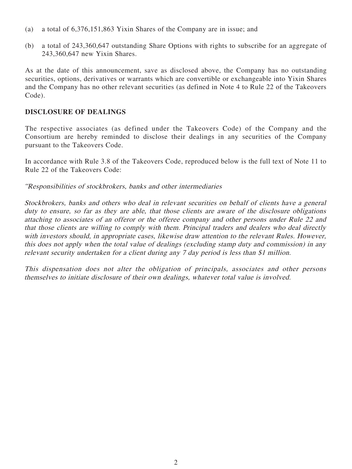- (a) a total of 6,376,151,863 Yixin Shares of the Company are in issue; and
- (b) a total of 243,360,647 outstanding Share Options with rights to subscribe for an aggregate of 243,360,647 new Yixin Shares.

As at the date of this announcement, save as disclosed above, the Company has no outstanding securities, options, derivatives or warrants which are convertible or exchangeable into Yixin Shares and the Company has no other relevant securities (as defined in Note 4 to Rule 22 of the Takeovers Code).

## **DISCLOSURE OF DEALINGS**

The respective associates (as defined under the Takeovers Code) of the Company and the Consortium are hereby reminded to disclose their dealings in any securities of the Company pursuant to the Takeovers Code.

In accordance with Rule 3.8 of the Takeovers Code, reproduced below is the full text of Note 11 to Rule 22 of the Takeovers Code:

"Responsibilities of stockbrokers, banks and other intermediaries

Stockbrokers, banks and others who deal in relevant securities on behalf of clients have a general duty to ensure, so far as they are able, that those clients are aware of the disclosure obligations attaching to associates of an offeror or the offeree company and other persons under Rule 22 and that those clients are willing to comply with them. Principal traders and dealers who deal directly with investors should, in appropriate cases, likewise draw attention to the relevant Rules. However, this does not apply when the total value of dealings (excluding stamp duty and commission) in any relevant security undertaken for a client during any 7 day period is less than \$1 million.

This dispensation does not alter the obligation of principals, associates and other persons themselves to initiate disclosure of their own dealings, whatever total value is involved.